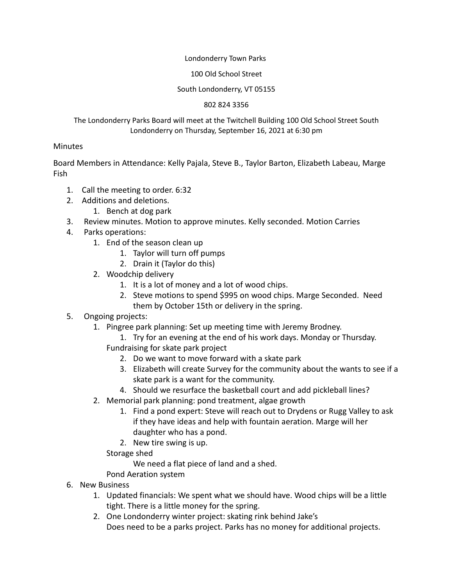Londonderry Town Parks

100 Old School Street

## South Londonderry, VT 05155

## 802 824 3356

## The Londonderry Parks Board will meet at the Twitchell Building 100 Old School Street South Londonderry on Thursday, September 16, 2021 at 6:30 pm

## **Minutes**

Board Members in Attendance: Kelly Pajala, Steve B., Taylor Barton, Elizabeth Labeau, Marge Fish

- 1. Call the meeting to order. 6:32
- 2. Additions and deletions.
	- 1. Bench at dog park
- 3. Review minutes. Motion to approve minutes. Kelly seconded. Motion Carries
- 4. Parks operations:
	- 1. End of the season clean up
		- 1. Taylor will turn off pumps
		- 2. Drain it (Taylor do this)
	- 2. Woodchip delivery
		- 1. It is a lot of money and a lot of wood chips.
		- 2. Steve motions to spend \$995 on wood chips. Marge Seconded. Need them by October 15th or delivery in the spring.
- 5. Ongoing projects:
	- 1. Pingree park planning: Set up meeting time with Jeremy Brodney.
		- 1. Try for an evening at the end of his work days. Monday or Thursday. Fundraising for skate park project
			- 2. Do we want to move forward with a skate park
			- 3. Elizabeth will create Survey for the community about the wants to see if a skate park is a want for the community.
			- 4. Should we resurface the basketball court and add pickleball lines?
	- 2. Memorial park planning: pond treatment, algae growth
		- 1. Find a pond expert: Steve will reach out to Drydens or Rugg Valley to ask if they have ideas and help with fountain aeration. Marge will her daughter who has a pond.
		- 2. New tire swing is up.

Storage shed

We need a flat piece of land and a shed.

Pond Aeration system

- 6. New Business
	- 1. Updated financials: We spent what we should have. Wood chips will be a little tight. There is a little money for the spring.
	- 2. One Londonderry winter project: skating rink behind Jake's Does need to be a parks project. Parks has no money for additional projects.